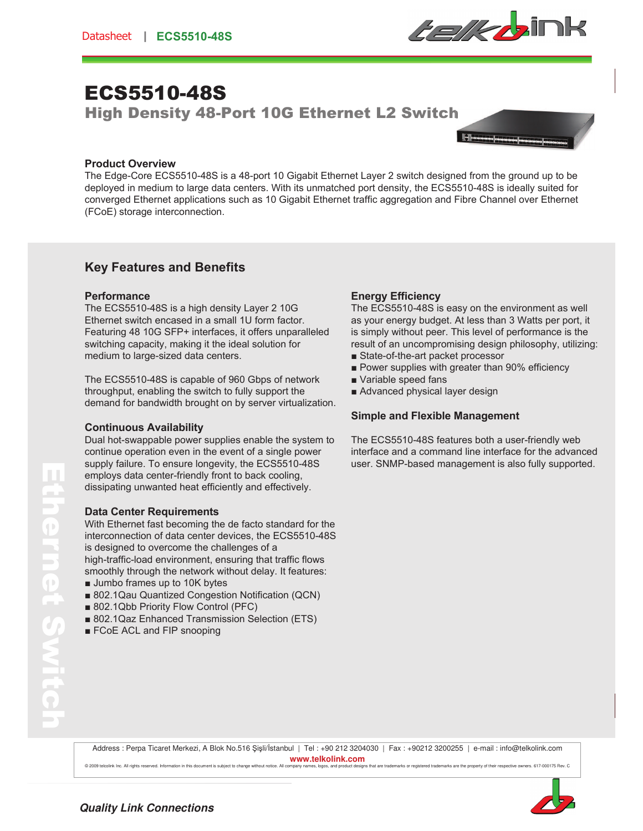

# ECS5510-48S

High Density 48-Port 10G Ethernet L2 Switch



#### **Product Overview**

The Edge-Core ECS5510-48S is a 48-port 10 Gigabit Ethernet Layer 2 switch designed from the ground up to be deployed in medium to large data centers. With its unmatched port density, the ECS5510-48S is ideally suited for converged Ethernet applications such as 10 Gigabit Ethernet traffic aggregation and Fibre Channel over Ethernet (FCoE) storage interconnection.

## **Key Features and Benefits**

#### **Performance**

The ECS5510-48S is a high density Layer 2 10G Ethernet switch encased in a small 1U form factor. Featuring 48 10G SFP+ interfaces, it offers unparalleled switching capacity, making it the ideal solution for medium to large-sized data centers.

The ECS5510-48S is capable of 960 Gbps of network throughput, enabling the switch to fully support the demand for bandwidth brought on by server virtualization.

#### **Continuous Availability**

Dual hot-swappable power supplies enable the system to continue operation even in the event of a single power supply failure. To ensure longevity, the ECS5510-48S employs data center-friendly front to back cooling, dissipating unwanted heat efficiently and effectively.

#### **Data Center Requirements**

With Ethernet fast becoming the de facto standard for the interconnection of data center devices, the ECS5510-48S is designed to overcome the challenges of a high-traffic-load environment, ensuring that traffic flows smoothly through the network without delay. It features:

- $\blacksquare$  Jumbo frames up to 10K bytes
- 802.1Qau Quantized Congestion Notification (QCN)
- 802.1Qbb Priority Flow Control (PFC)
- 802.1Qaz Enhanced Transmission Selection (ETS)
- FCoE ACL and FIP snooping

#### **Energy Efficiency**

The ECS5510-48S is easy on the environment as well as your energy budget. At less than 3 Watts per port, it is simply without peer. This level of performance is the result of an uncompromising design philosophy, utilizing:

- State-of-the-art packet processor
- **Power supplies with greater than 90% efficiency**
- Variable speed fans
- Advanced physical layer design

#### **Simple and Flexible Management**

The ECS5510-48S features both a user-friendly web interface and a command line interface for the advanced user. SNMP-based management is also fully supported.

Ethernet Switch  $\mathbf{P}$ 

Address : Perpa Ticaret Merkezi, A Blok No.516 Şişli/Istanbul | Tel : +90 212 3204030 | Fax : +90212 3200255 | e-mail : info@telkolink.com **www.telkolink.com** © 2009 teleplink Inc. All rights reserved, Information in this document is subject to change without policy all company names, logos and product designs that are trademarks or registered trademarks are the property of thei



**Quality Link Connections**